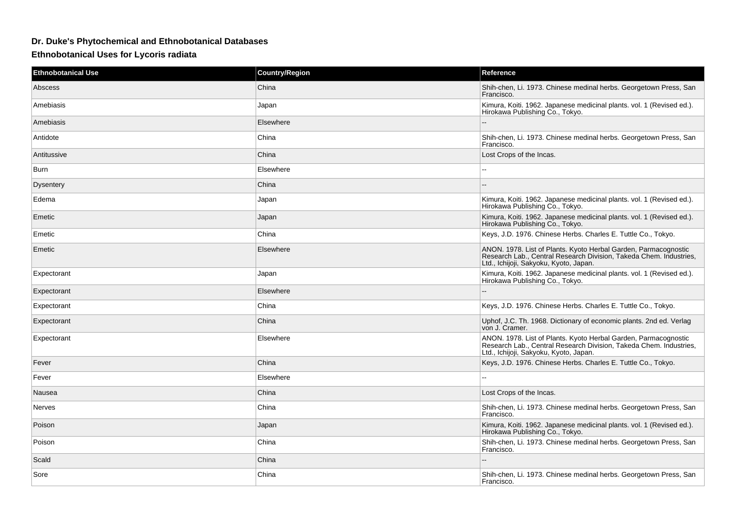## **Dr. Duke's Phytochemical and Ethnobotanical Databases**

## **Ethnobotanical Uses for Lycoris radiata**

| <b>Ethnobotanical Use</b> | <b>Country/Region</b> | Reference                                                                                                                                                                       |
|---------------------------|-----------------------|---------------------------------------------------------------------------------------------------------------------------------------------------------------------------------|
| Abscess                   | China                 | Shih-chen, Li. 1973. Chinese medinal herbs. Georgetown Press, San<br>Francisco.                                                                                                 |
| Amebiasis                 | Japan                 | Kimura, Koiti. 1962. Japanese medicinal plants. vol. 1 (Revised ed.).<br>Hirokawa Publishing Co., Tokyo.                                                                        |
| Amebiasis                 | Elsewhere             |                                                                                                                                                                                 |
| Antidote                  | China                 | Shih-chen, Li. 1973. Chinese medinal herbs. Georgetown Press, San<br>Francisco.                                                                                                 |
| Antitussive               | China                 | Lost Crops of the Incas.                                                                                                                                                        |
| Burn                      | Elsewhere             | ٠.                                                                                                                                                                              |
| <b>Dysentery</b>          | China                 |                                                                                                                                                                                 |
| Edema                     | Japan                 | Kimura, Koiti. 1962. Japanese medicinal plants. vol. 1 (Revised ed.).<br>Hirokawa Publishing Co., Tokyo.                                                                        |
| Emetic                    | Japan                 | Kimura, Koiti. 1962. Japanese medicinal plants. vol. 1 (Revised ed.).<br>Hirokawa Publishing Co., Tokyo.                                                                        |
| Emetic                    | China                 | Keys, J.D. 1976. Chinese Herbs. Charles E. Tuttle Co., Tokyo.                                                                                                                   |
| Emetic                    | Elsewhere             | ANON. 1978. List of Plants. Kyoto Herbal Garden, Parmacognostic<br>Research Lab., Central Research Division, Takeda Chem. Industries,<br>Ltd., Ichijoji, Sakyoku, Kyoto, Japan. |
| Expectorant               | Japan                 | Kimura, Koiti. 1962. Japanese medicinal plants. vol. 1 (Revised ed.).<br>Hirokawa Publishing Co., Tokyo.                                                                        |
| Expectorant               | Elsewhere             |                                                                                                                                                                                 |
| Expectorant               | China                 | Keys, J.D. 1976. Chinese Herbs. Charles E. Tuttle Co., Tokyo.                                                                                                                   |
| Expectorant               | China                 | Uphof, J.C. Th. 1968. Dictionary of economic plants. 2nd ed. Verlag<br>von J. Cramer.                                                                                           |
| Expectorant               | Elsewhere             | ANON. 1978. List of Plants. Kyoto Herbal Garden, Parmacognostic<br>Research Lab., Central Research Division, Takeda Chem. Industries,<br>Ltd., Ichijoji, Sakyoku, Kyoto, Japan. |
| Fever                     | China                 | Keys, J.D. 1976. Chinese Herbs. Charles E. Tuttle Co., Tokyo.                                                                                                                   |
| Fever                     | Elsewhere             |                                                                                                                                                                                 |
| Nausea                    | China                 | Lost Crops of the Incas.                                                                                                                                                        |
| <b>Nerves</b>             | China                 | Shih-chen, Li. 1973. Chinese medinal herbs. Georgetown Press, San<br>Francisco.                                                                                                 |
| Poison                    | Japan                 | Kimura, Koiti. 1962. Japanese medicinal plants. vol. 1 (Revised ed.).<br>Hirokawa Publishing Co., Tokyo.                                                                        |
| Poison                    | China                 | Shih-chen, Li. 1973. Chinese medinal herbs. Georgetown Press, San<br>Francisco.                                                                                                 |
| Scald                     | China                 |                                                                                                                                                                                 |
| Sore                      | China                 | Shih-chen, Li. 1973. Chinese medinal herbs. Georgetown Press, San<br>Francisco.                                                                                                 |